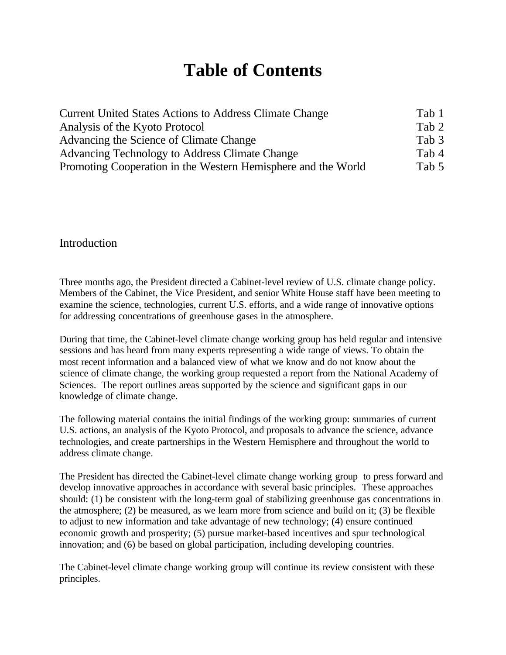# **Table of Contents**

| <b>Current United States Actions to Address Climate Change</b> |       |
|----------------------------------------------------------------|-------|
| Analysis of the Kyoto Protocol                                 | Tab 2 |
| Advancing the Science of Climate Change                        | Tab 3 |
| Advancing Technology to Address Climate Change                 |       |
| Promoting Cooperation in the Western Hemisphere and the World  | Tab 5 |

#### Introduction

Three months ago, the President directed a Cabinet-level review of U.S. climate change policy. Members of the Cabinet, the Vice President, and senior White House staff have been meeting to examine the science, technologies, current U.S. efforts, and a wide range of innovative options for addressing concentrations of greenhouse gases in the atmosphere.

During that time, the Cabinet-level climate change working group has held regular and intensive sessions and has heard from many experts representing a wide range of views. To obtain the most recent information and a balanced view of what we know and do not know about the science of climate change, the working group requested a report from the National Academy of Sciences. The report outlines areas supported by the science and significant gaps in our knowledge of climate change.

The following material contains the initial findings of the working group: summaries of current U.S. actions, an analysis of the Kyoto Protocol, and proposals to advance the science, advance technologies, and create partnerships in the Western Hemisphere and throughout the world to address climate change.

The President has directed the Cabinet-level climate change working group to press forward and develop innovative approaches in accordance with several basic principles. These approaches should: (1) be consistent with the long-term goal of stabilizing greenhouse gas concentrations in the atmosphere; (2) be measured, as we learn more from science and build on it; (3) be flexible to adjust to new information and take advantage of new technology; (4) ensure continued economic growth and prosperity; (5) pursue market-based incentives and spur technological innovation; and (6) be based on global participation, including developing countries.

The Cabinet-level climate change working group will continue its review consistent with these principles.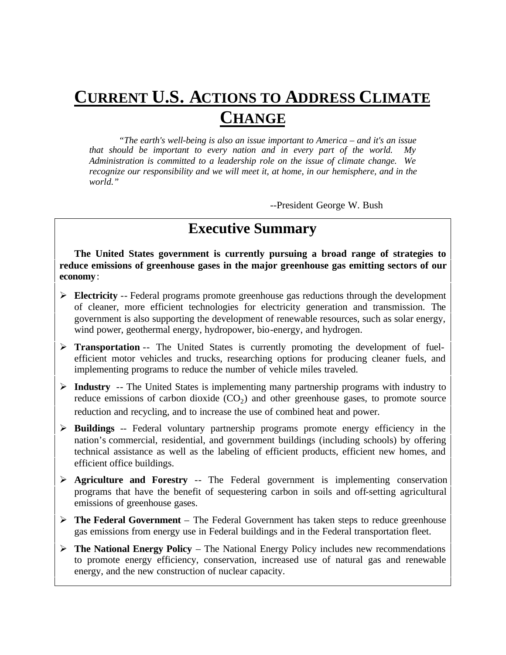# **CURRENT U.S. ACTIONS TO ADDRESS CLIMATE CHANGE**

*"The earth's well-being is also an issue important to America – and it's an issue* that should be important to every nation and in every part of the world. *Administration is committed to a leadership role on the issue of climate change. We recognize our responsibility and we will meet it, at home, in our hemisphere, and in the world."*

--President George W. Bush

# **Executive Summary**

**The United States government is currently pursuing a broad range of strategies to reduce emissions of greenhouse gases in the major greenhouse gas emitting sectors of our economy**:

- ÿ **Electricity** -- Federal programs promote greenhouse gas reductions through the development of cleaner, more efficient technologies for electricity generation and transmission. The government is also supporting the development of renewable resources, such as solar energy, wind power, geothermal energy, hydropower, bio-energy, and hydrogen.
- **≻ Transportation** -- The United States is currently promoting the development of fuelefficient motor vehicles and trucks, researching options for producing cleaner fuels, and implementing programs to reduce the number of vehicle miles traveled.
- ÿ **Industry** -- The United States is implementing many partnership programs with industry to reduce emissions of carbon dioxide  $(CO_2)$  and other greenhouse gases, to promote source reduction and recycling, and to increase the use of combined heat and power.
- ÿ **Buildings** -- Federal voluntary partnership programs promote energy efficiency in the nation's commercial, residential, and government buildings (including schools) by offering technical assistance as well as the labeling of efficient products, efficient new homes, and efficient office buildings.
- ÿ **Agriculture and Forestry** -- The Federal government is implementing conservation programs that have the benefit of sequestering carbon in soils and off-setting agricultural emissions of greenhouse gases.
- ÿ **The Federal Government** The Federal Government has taken steps to reduce greenhouse gas emissions from energy use in Federal buildings and in the Federal transportation fleet.
- ÿ **The National Energy Policy**  The National Energy Policy includes new recommendations to promote energy efficiency, conservation, increased use of natural gas and renewable energy, and the new construction of nuclear capacity.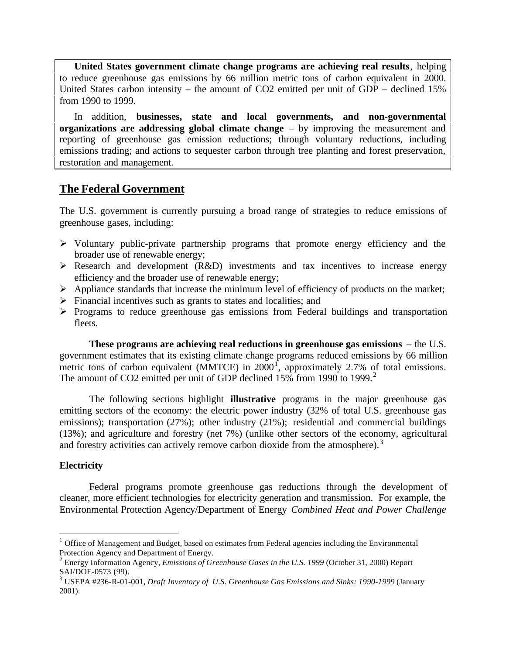**United States government climate change programs are achieving real results**, helping to reduce greenhouse gas emissions by 66 million metric tons of carbon equivalent in 2000. United States carbon intensity – the amount of CO2 emitted per unit of GDP – declined 15% from 1990 to 1999.

In addition, **businesses, state and local governments, and non-governmental organizations are addressing global climate change** – by improving the measurement and reporting of greenhouse gas emission reductions; through voluntary reductions, including emissions trading; and actions to sequester carbon through tree planting and forest preservation, restoration and management.

# **The Federal Government**

The U.S. government is currently pursuing a broad range of strategies to reduce emissions of greenhouse gases, including:

- $\triangleright$  Voluntary public-private partnership programs that promote energy efficiency and the broader use of renewable energy;
- $\triangleright$  Research and development (R&D) investments and tax incentives to increase energy efficiency and the broader use of renewable energy;
- $\triangleright$  Appliance standards that increase the minimum level of efficiency of products on the market;
- $\triangleright$  Financial incentives such as grants to states and localities; and
- $\triangleright$  Programs to reduce greenhouse gas emissions from Federal buildings and transportation fleets.

**These programs are achieving real reductions in greenhouse gas emissions** – the U.S. government estimates that its existing climate change programs reduced emissions by 66 million metric tons of carbon equivalent (MMTCE) in  $2000^{\circ}$ , approximately 2.7% of total emissions. The amount of CO2 emitted per unit of GDP declined 15% from 1990 to 1999.<sup>2</sup>

The following sections highlight **illustrative** programs in the major greenhouse gas emitting sectors of the economy: the electric power industry (32% of total U.S. greenhouse gas emissions); transportation (27%); other industry (21%); residential and commercial buildings (13%); and agriculture and forestry (net 7%) (unlike other sectors of the economy, agricultural and forestry activities can actively remove carbon dioxide from the atmosphere).<sup>3</sup>

#### **Electricity**

 $\overline{a}$ 

Federal programs promote greenhouse gas reductions through the development of cleaner, more efficient technologies for electricity generation and transmission. For example, the Environmental Protection Agency/Department of Energy *Combined Heat and Power Challenge*

 $1$  Office of Management and Budget, based on estimates from Federal agencies including the Environmental Protection Agency and Department of Energy.

<sup>2</sup> Energy Information Agency, *Emissions of Greenhouse Gases in the U.S. 1999* (October 31, 2000) Report SAI/DOE-0573 (99).

<sup>3</sup> USEPA #236-R-01-001, *Draft Inventory of U.S. Greenhouse Gas Emissions and Sinks: 1990-1999* (January 2001).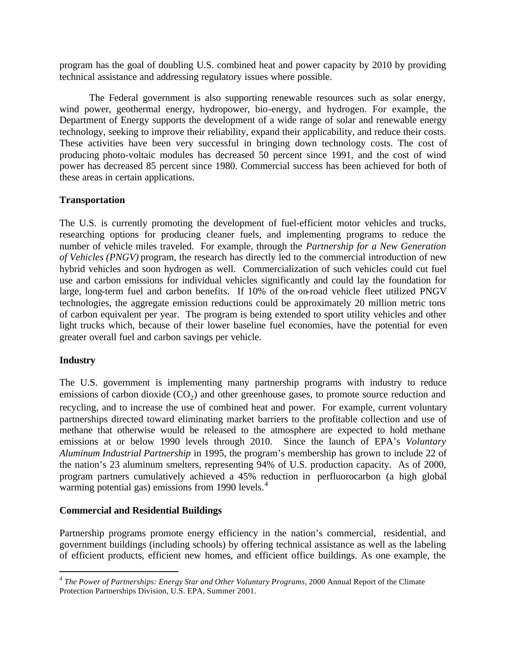program has the goal of doubling U.S. combined heat and power capacity by 2010 by providing technical assistance and addressing regulatory issues where possible.

The Federal government is also supporting renewable resources such as solar energy, wind power, geothermal energy, hydropower, bio-energy, and hydrogen. For example, the Department of Energy supports the development of a wide range of solar and renewable energy technology, seeking to improve their reliability, expand their applicability, and reduce their costs. These activities have been very successful in bringing down technology costs. The cost of producing photo-voltaic modules has decreased 50 percent since 1991, and the cost of wind power has decreased 85 percent since 1980. Commercial success has been achieved for both of these areas in certain applications.

#### **Transportation**

The U.S. is currently promoting the development of fuel-efficient motor vehicles and trucks, researching options for producing cleaner fuels, and implementing programs to reduce the number of vehicle miles traveled. For example, through the *Partnership for a New Generation of Vehicles (PNGV)* program, the research has directly led to the commercial introduction of new hybrid vehicles and soon hydrogen as well. Commercialization of such vehicles could cut fuel use and carbon emissions for individual vehicles significantly and could lay the foundation for large, long-term fuel and carbon benefits. If 10% of the on-road vehicle fleet utilized PNGV technologies, the aggregate emission reductions could be approximately 20 million metric tons of carbon equivalent per year. The program is being extended to sport utility vehicles and other light trucks which, because of their lower baseline fuel economies, have the potential for even greater overall fuel and carbon savings per vehicle.

#### **Industry**

 $\overline{a}$ 

The U.S. government is implementing many partnership programs with industry to reduce emissions of carbon dioxide  $(CO_2)$  and other greenhouse gases, to promote source reduction and recycling, and to increase the use of combined heat and power. For example, current voluntary partnerships directed toward eliminating market barriers to the profitable collection and use of methane that otherwise would be released to the atmosphere are expected to hold methane emissions at or below 1990 levels through 2010. Since the launch of EPA's *Voluntary Aluminum Industrial Partnership* in 1995, the program's membership has grown to include 22 of the nation's 23 aluminum smelters, representing 94% of U.S. production capacity. As of 2000, program partners cumulatively achieved a 45% reduction in perfluorocarbon (a high global warming potential gas) emissions from 1990 levels. $4$ 

#### **Commercial and Residential Buildings**

Partnership programs promote energy efficiency in the nation's commercial, residential, and government buildings (including schools) by offering technical assistance as well as the labeling of efficient products, efficient new homes, and efficient office buildings. As one example, the

<sup>4</sup> *The Power of Partnerships: Energy Star and Other Voluntary Programs*, 2000 Annual Report of the Climate Protection Partnerships Division, U.S. EPA, Summer 2001.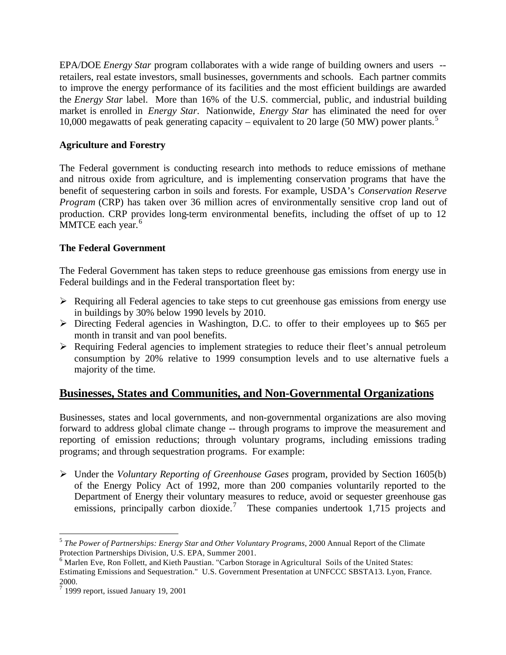EPA/DOE *Energy Star* program collaborates with a wide range of building owners and users - retailers, real estate investors, small businesses, governments and schools. Each partner commits to improve the energy performance of its facilities and the most efficient buildings are awarded the *Energy Star* label. More than 16% of the U.S. commercial, public, and industrial building market is enrolled in *Energy Star*. Nationwide, *Energy Star* has eliminated the need for over 10,000 megawatts of peak generating capacity – equivalent to 20 large (50 MW) power plants.<sup>5</sup>

#### **Agriculture and Forestry**

The Federal government is conducting research into methods to reduce emissions of methane and nitrous oxide from agriculture, and is implementing conservation programs that have the benefit of sequestering carbon in soils and forests. For example, USDA's *Conservation Reserve Program* (CRP) has taken over 36 million acres of environmentally sensitive crop land out of production. CRP provides long-term environmental benefits, including the offset of up to 12 MMTCE each year.<sup>6</sup>

#### **The Federal Government**

The Federal Government has taken steps to reduce greenhouse gas emissions from energy use in Federal buildings and in the Federal transportation fleet by:

- $\triangleright$  Requiring all Federal agencies to take steps to cut greenhouse gas emissions from energy use in buildings by 30% below 1990 levels by 2010.
- ÿ Directing Federal agencies in Washington, D.C. to offer to their employees up to \$65 per month in transit and van pool benefits.
- $\triangleright$  Requiring Federal agencies to implement strategies to reduce their fleet's annual petroleum consumption by 20% relative to 1999 consumption levels and to use alternative fuels a majority of the time.

# **Businesses, States and Communities, and Non-Governmental Organizations**

Businesses, states and local governments, and non-governmental organizations are also moving forward to address global climate change -- through programs to improve the measurement and reporting of emission reductions; through voluntary programs, including emissions trading programs; and through sequestration programs. For example:

ÿ Under the *Voluntary Reporting of Greenhouse Gases* program, provided by Section 1605(b) of the Energy Policy Act of 1992, more than 200 companies voluntarily reported to the Department of Energy their voluntary measures to reduce, avoid or sequester greenhouse gas emissions, principally carbon dioxide.<sup>7</sup> These companies undertook 1,715 projects and

 $\overline{a}$ 

<sup>5</sup> *The Power of Partnerships: Energy Star and Other Voluntary Programs*, 2000 Annual Report of the Climate Protection Partnerships Division, U.S. EPA, Summer 2001.

<sup>6</sup> Marlen Eve, Ron Follett, and Kieth Paustian. "Carbon Storage in Agricultural Soils of the United States: Estimating Emissions and Sequestration." U.S. Government Presentation at UNFCCC SBSTA13. Lyon, France. 2000.

 $<sup>7</sup>$  1999 report, issued January 19, 2001</sup>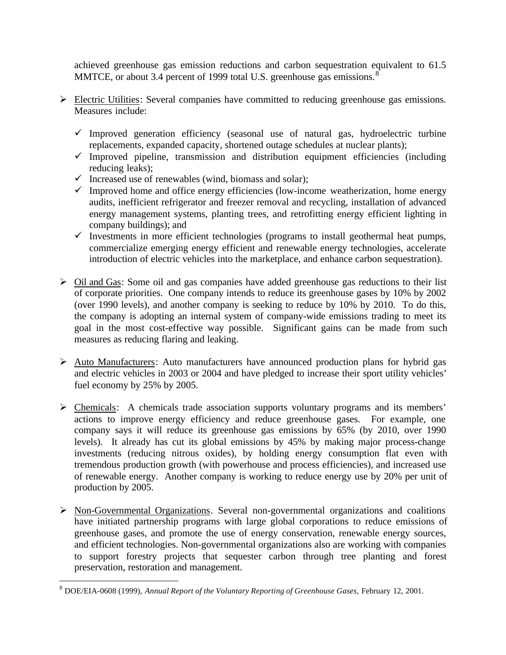achieved greenhouse gas emission reductions and carbon sequestration equivalent to 61.5 MMTCE, or about 3.4 percent of 1999 total U.S. greenhouse gas emissions.<sup>8</sup>

- ÿ Electric Utilities: Several companies have committed to reducing greenhouse gas emissions. Measures include:
	- $\checkmark$  Improved generation efficiency (seasonal use of natural gas, hydroelectric turbine replacements, expanded capacity, shortened outage schedules at nuclear plants);
	- $\checkmark$  Improved pipeline, transmission and distribution equipment efficiencies (including reducing leaks);
	- $\checkmark$  Increased use of renewables (wind, biomass and solar);
	- $\checkmark$  Improved home and office energy efficiencies (low-income weatherization, home energy audits, inefficient refrigerator and freezer removal and recycling, installation of advanced energy management systems, planting trees, and retrofitting energy efficient lighting in company buildings); and
	- $\checkmark$  Investments in more efficient technologies (programs to install geothermal heat pumps, commercialize emerging energy efficient and renewable energy technologies, accelerate introduction of electric vehicles into the marketplace, and enhance carbon sequestration).
- $\triangleright$  Oil and Gas: Some oil and gas companies have added greenhouse gas reductions to their list of corporate priorities. One company intends to reduce its greenhouse gases by 10% by 2002 (over 1990 levels), and another company is seeking to reduce by 10% by 2010. To do this, the company is adopting an internal system of company-wide emissions trading to meet its goal in the most cost-effective way possible. Significant gains can be made from such measures as reducing flaring and leaking.
- $\triangleright$  Auto Manufacturers: Auto manufacturers have announced production plans for hybrid gas and electric vehicles in 2003 or 2004 and have pledged to increase their sport utility vehicles' fuel economy by 25% by 2005.
- ÿ Chemicals: A chemicals trade association supports voluntary programs and its members' actions to improve energy efficiency and reduce greenhouse gases. For example, one company says it will reduce its greenhouse gas emissions by 65% (by 2010, over 1990 levels). It already has cut its global emissions by 45% by making major process-change investments (reducing nitrous oxides), by holding energy consumption flat even with tremendous production growth (with powerhouse and process efficiencies), and increased use of renewable energy. Another company is working to reduce energy use by 20% per unit of production by 2005.
- $\triangleright$  Non-Governmental Organizations. Several non-governmental organizations and coalitions have initiated partnership programs with large global corporations to reduce emissions of greenhouse gases, and promote the use of energy conservation, renewable energy sources, and efficient technologies. Non-governmental organizations also are working with companies to support forestry projects that sequester carbon through tree planting and forest preservation, restoration and management.

 8 DOE/EIA-0608 (1999), *Annual Report of the Voluntary Reporting of Greenhouse Gases*, February 12, 2001.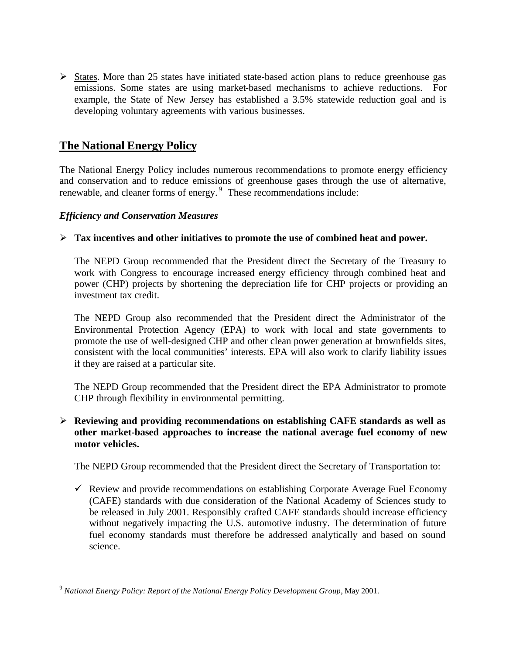$\triangleright$  States. More than 25 states have initiated state-based action plans to reduce greenhouse gas emissions. Some states are using market-based mechanisms to achieve reductions. For example, the State of New Jersey has established a 3.5% statewide reduction goal and is developing voluntary agreements with various businesses.

# **The National Energy Policy**

The National Energy Policy includes numerous recommendations to promote energy efficiency and conservation and to reduce emissions of greenhouse gases through the use of alternative, renewable, and cleaner forms of energy.<sup>9</sup> These recommendations include:

#### *Efficiency and Conservation Measures*

 $\overline{a}$ 

#### $\triangleright$  Tax incentives and other initiatives to promote the use of combined heat and power.

The NEPD Group recommended that the President direct the Secretary of the Treasury to work with Congress to encourage increased energy efficiency through combined heat and power (CHP) projects by shortening the depreciation life for CHP projects or providing an investment tax credit.

The NEPD Group also recommended that the President direct the Administrator of the Environmental Protection Agency (EPA) to work with local and state governments to promote the use of well-designed CHP and other clean power generation at brownfields sites, consistent with the local communities' interests. EPA will also work to clarify liability issues if they are raised at a particular site.

The NEPD Group recommended that the President direct the EPA Administrator to promote CHP through flexibility in environmental permitting.

#### ÿ **Reviewing and providing recommendations on establishing CAFE standards as well as other market-based approaches to increase the national average fuel economy of new motor vehicles.**

The NEPD Group recommended that the President direct the Secretary of Transportation to:

 $\checkmark$  Review and provide recommendations on establishing Corporate Average Fuel Economy (CAFE) standards with due consideration of the National Academy of Sciences study to be released in July 2001. Responsibly crafted CAFE standards should increase efficiency without negatively impacting the U.S. automotive industry. The determination of future fuel economy standards must therefore be addressed analytically and based on sound science.

<sup>9</sup> *National Energy Policy: Report of the National Energy Policy Development Group*, May 2001.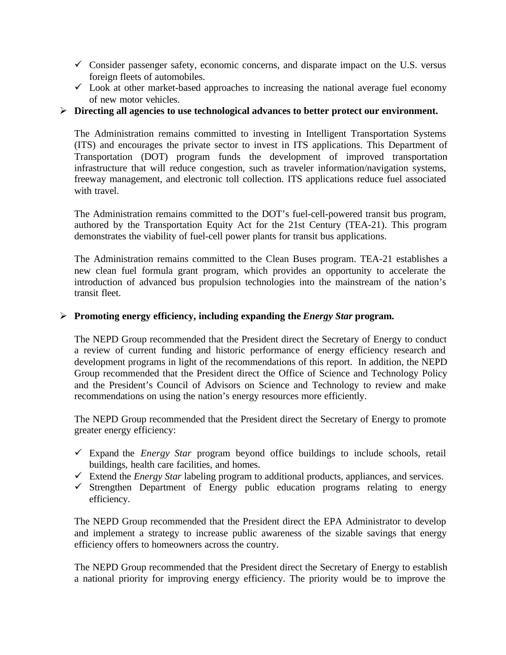- $\checkmark$  Consider passenger safety, economic concerns, and disparate impact on the U.S. versus foreign fleets of automobiles.
- $\checkmark$  Look at other market-based approaches to increasing the national average fuel economy of new motor vehicles.

#### ÿ **Directing all agencies to use technological advances to better protect our environment.**

The Administration remains committed to investing in Intelligent Transportation Systems (ITS) and encourages the private sector to invest in ITS applications. This Department of Transportation (DOT) program funds the development of improved transportation infrastructure that will reduce congestion, such as traveler information/navigation systems, freeway management, and electronic toll collection. ITS applications reduce fuel associated with travel.

The Administration remains committed to the DOT's fuel-cell-powered transit bus program, authored by the Transportation Equity Act for the 21st Century (TEA-21). This program demonstrates the viability of fuel-cell power plants for transit bus applications.

The Administration remains committed to the Clean Buses program. TEA-21 establishes a new clean fuel formula grant program, which provides an opportunity to accelerate the introduction of advanced bus propulsion technologies into the mainstream of the nation's transit fleet.

#### ÿ **Promoting energy efficiency, including expanding the** *Energy Star* **program.**

The NEPD Group recommended that the President direct the Secretary of Energy to conduct a review of current funding and historic performance of energy efficiency research and development programs in light of the recommendations of this report. In addition, the NEPD Group recommended that the President direct the Office of Science and Technology Policy and the President's Council of Advisors on Science and Technology to review and make recommendations on using the nation's energy resources more efficiently.

The NEPD Group recommended that the President direct the Secretary of Energy to promote greater energy efficiency:

- $\checkmark$  Expand the *Energy Star* program beyond office buildings to include schools, retail buildings, health care facilities, and homes.
- $\checkmark$  Extend the *Energy Star* labeling program to additional products, appliances, and services.
- $\checkmark$  Strengthen Department of Energy public education programs relating to energy efficiency.

The NEPD Group recommended that the President direct the EPA Administrator to develop and implement a strategy to increase public awareness of the sizable savings that energy efficiency offers to homeowners across the country.

The NEPD Group recommended that the President direct the Secretary of Energy to establish a national priority for improving energy efficiency. The priority would be to improve the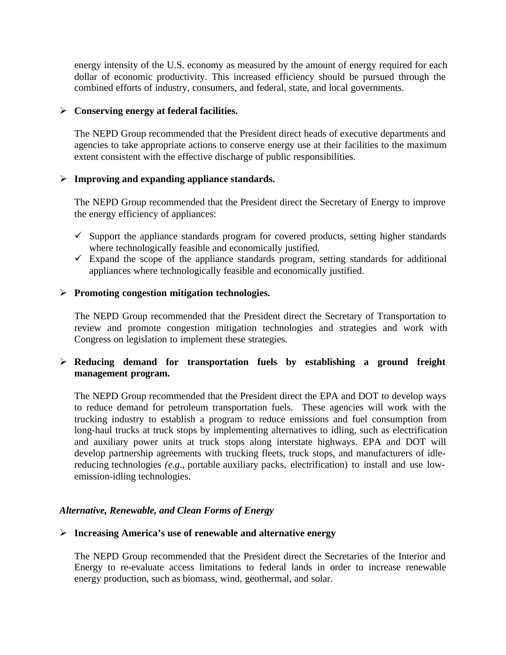energy intensity of the U.S. economy as measured by the amount of energy required for each dollar of economic productivity. This increased efficiency should be pursued through the combined efforts of industry, consumers, and federal, state, and local governments.

#### ÿ **Conserving energy at federal facilities.**

The NEPD Group recommended that the President direct heads of executive departments and agencies to take appropriate actions to conserve energy use at their facilities to the maximum extent consistent with the effective discharge of public responsibilities.

#### ÿ **Improving and expanding appliance standards.**

The NEPD Group recommended that the President direct the Secretary of Energy to improve the energy efficiency of appliances:

- $\checkmark$  Support the appliance standards program for covered products, setting higher standards where technologically feasible and economically justified.
- $\checkmark$  Expand the scope of the appliance standards program, setting standards for additional appliances where technologically feasible and economically justified.

#### ÿ **Promoting congestion mitigation technologies.**

The NEPD Group recommended that the President direct the Secretary of Transportation to review and promote congestion mitigation technologies and strategies and work with Congress on legislation to implement these strategies.

#### ÿ **Reducing demand for transportation fuels by establishing a ground freight management program.**

The NEPD Group recommended that the President direct the EPA and DOT to develop ways to reduce demand for petroleum transportation fuels. These agencies will work with the trucking industry to establish a program to reduce emissions and fuel consumption from long-haul trucks at truck stops by implementing alternatives to idling, such as electrification and auxiliary power units at truck stops along interstate highways. EPA and DOT will develop partnership agreements with trucking fleets, truck stops, and manufacturers of idlereducing technologies *(e.g*., portable auxiliary packs, electrification) to install and use lowemission-idling technologies.

#### *Alternative, Renewable, and Clean Forms of Energy*

#### ÿ **Increasing America's use of renewable and alternative energy**

The NEPD Group recommended that the President direct the Secretaries of the Interior and Energy to re-evaluate access limitations to federal lands in order to increase renewable energy production, such as biomass, wind, geothermal, and solar.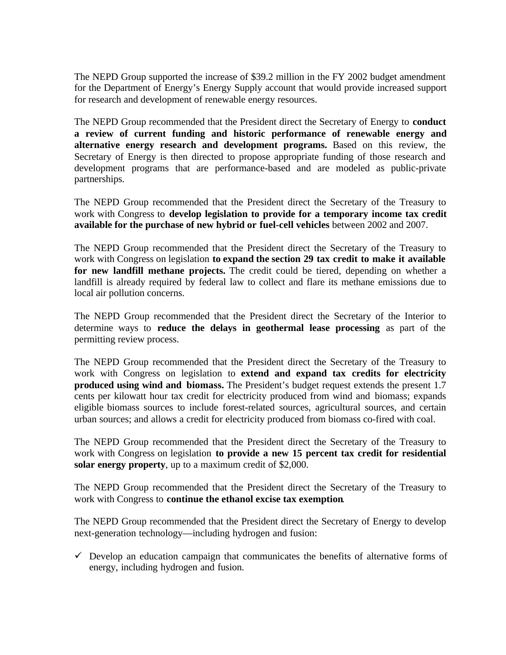The NEPD Group supported the increase of \$39.2 million in the FY 2002 budget amendment for the Department of Energy's Energy Supply account that would provide increased support for research and development of renewable energy resources.

The NEPD Group recommended that the President direct the Secretary of Energy to **conduct a review of current funding and historic performance of renewable energy and alternative energy research and development programs.** Based on this review, the Secretary of Energy is then directed to propose appropriate funding of those research and development programs that are performance-based and are modeled as public-private partnerships.

The NEPD Group recommended that the President direct the Secretary of the Treasury to work with Congress to **develop legislation to provide for a temporary income tax credit available for the purchase of new hybrid or fuel-cell vehicles** between 2002 and 2007.

The NEPD Group recommended that the President direct the Secretary of the Treasury to work with Congress on legislation **to expand the section 29 tax credit to make it available for new landfill methane projects.** The credit could be tiered, depending on whether a landfill is already required by federal law to collect and flare its methane emissions due to local air pollution concerns.

The NEPD Group recommended that the President direct the Secretary of the Interior to determine ways to **reduce the delays in geothermal lease processing** as part of the permitting review process.

The NEPD Group recommended that the President direct the Secretary of the Treasury to work with Congress on legislation to **extend and expand tax credits for electricity produced using wind and biomass.** The President's budget request extends the present 1.7 cents per kilowatt hour tax credit for electricity produced from wind and biomass; expands eligible biomass sources to include forest-related sources, agricultural sources, and certain urban sources; and allows a credit for electricity produced from biomass co-fired with coal.

The NEPD Group recommended that the President direct the Secretary of the Treasury to work with Congress on legislation **to provide a new 15 percent tax credit for residential solar energy property**, up to a maximum credit of \$2,000.

The NEPD Group recommended that the President direct the Secretary of the Treasury to work with Congress to **continue the ethanol excise tax exemption**.

The NEPD Group recommended that the President direct the Secretary of Energy to develop next-generation technology—including hydrogen and fusion:

 $\checkmark$  Develop an education campaign that communicates the benefits of alternative forms of energy, including hydrogen and fusion.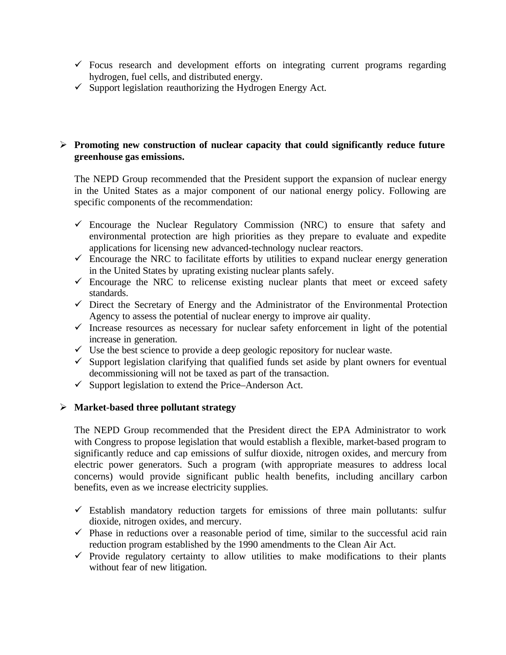- $\checkmark$  Focus research and development efforts on integrating current programs regarding hydrogen, fuel cells, and distributed energy.
- $\checkmark$  Support legislation reauthorizing the Hydrogen Energy Act.

#### ÿ **Promoting new construction of nuclear capacity that could significantly reduce future greenhouse gas emissions.**

The NEPD Group recommended that the President support the expansion of nuclear energy in the United States as a major component of our national energy policy. Following are specific components of the recommendation:

- $\checkmark$  Encourage the Nuclear Regulatory Commission (NRC) to ensure that safety and environmental protection are high priorities as they prepare to evaluate and expedite applications for licensing new advanced-technology nuclear reactors.
- $\checkmark$  Encourage the NRC to facilitate efforts by utilities to expand nuclear energy generation in the United States by uprating existing nuclear plants safely.
- $\checkmark$  Encourage the NRC to relicense existing nuclear plants that meet or exceed safety standards.
- $\checkmark$  Direct the Secretary of Energy and the Administrator of the Environmental Protection Agency to assess the potential of nuclear energy to improve air quality.
- $\checkmark$  Increase resources as necessary for nuclear safety enforcement in light of the potential increase in generation.
- $\checkmark$  Use the best science to provide a deep geologic repository for nuclear waste.
- $\checkmark$  Support legislation clarifying that qualified funds set aside by plant owners for eventual decommissioning will not be taxed as part of the transaction.
- $\checkmark$  Support legislation to extend the Price–Anderson Act.

#### ÿ **Market-based three pollutant strategy**

The NEPD Group recommended that the President direct the EPA Administrator to work with Congress to propose legislation that would establish a flexible, market-based program to significantly reduce and cap emissions of sulfur dioxide, nitrogen oxides, and mercury from electric power generators. Such a program (with appropriate measures to address local concerns) would provide significant public health benefits, including ancillary carbon benefits, even as we increase electricity supplies.

- $\checkmark$  Establish mandatory reduction targets for emissions of three main pollutants: sulfur dioxide, nitrogen oxides, and mercury.
- $\checkmark$  Phase in reductions over a reasonable period of time, similar to the successful acid rain reduction program established by the 1990 amendments to the Clean Air Act.
- $\checkmark$  Provide regulatory certainty to allow utilities to make modifications to their plants without fear of new litigation.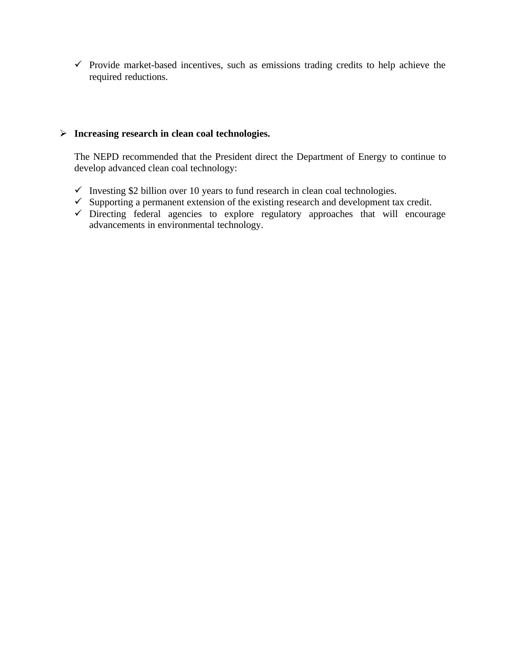$\checkmark$  Provide market-based incentives, such as emissions trading credits to help achieve the required reductions.

# ÿ **Increasing research in clean coal technologies.**

The NEPD recommended that the President direct the Department of Energy to continue to develop advanced clean coal technology:

- $\checkmark$  Investing \$2 billion over 10 years to fund research in clean coal technologies.
- ¸ Supporting a permanent extension of the existing research and development tax credit.
- $\checkmark$  Directing federal agencies to explore regulatory approaches that will encourage advancements in environmental technology.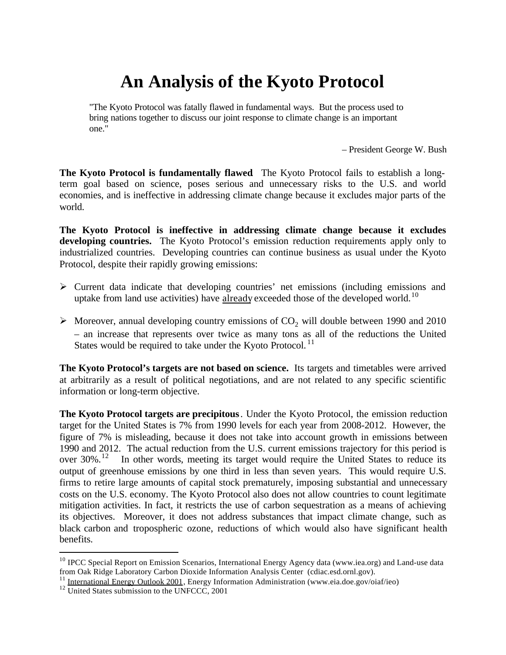# **An Analysis of the Kyoto Protocol**

"The Kyoto Protocol was fatally flawed in fundamental ways. But the process used to bring nations together to discuss our joint response to climate change is an important one."

– President George W. Bush

**The Kyoto Protocol is fundamentally flawed**. The Kyoto Protocol fails to establish a longterm goal based on science, poses serious and unnecessary risks to the U.S. and world economies, and is ineffective in addressing climate change because it excludes major parts of the world.

**The Kyoto Protocol is ineffective in addressing climate change because it excludes developing countries.** The Kyoto Protocol's emission reduction requirements apply only to industrialized countries. Developing countries can continue business as usual under the Kyoto Protocol, despite their rapidly growing emissions:

- $\triangleright$  Current data indicate that developing countries' net emissions (including emissions and uptake from land use activities) have already exceeded those of the developed world.<sup>10</sup>
- $\triangleright$  Moreover, annual developing country emissions of CO<sub>2</sub> will double between 1990 and 2010 – an increase that represents over twice as many tons as all of the reductions the United States would be required to take under the Kyoto Protocol.<sup>11</sup>

**The Kyoto Protocol's targets are not based on science.** Its targets and timetables were arrived at arbitrarily as a result of political negotiations, and are not related to any specific scientific information or long-term objective.

**The Kyoto Protocol targets are precipitous**. Under the Kyoto Protocol, the emission reduction target for the United States is 7% from 1990 levels for each year from 2008-2012. However, the figure of 7% is misleading, because it does not take into account growth in emissions between 1990 and 2012. The actual reduction from the U.S. current emissions trajectory for this period is over 30%.<sup>12</sup> In other words, meeting its target would require the United States to reduce its output of greenhouse emissions by one third in less than seven years. This would require U.S. firms to retire large amounts of capital stock prematurely, imposing substantial and unnecessary costs on the U.S. economy. The Kyoto Protocol also does not allow countries to count legitimate mitigation activities. In fact, it restricts the use of carbon sequestration as a means of achieving its objectives. Moreover, it does not address substances that impact climate change, such as black carbon and tropospheric ozone, reductions of which would also have significant health benefits.

 $\overline{a}$ 

<sup>&</sup>lt;sup>10</sup> IPCC Special Report on Emission Scenarios, International Energy Agency data (www.iea.org) and Land-use data from Oak Ridge Laboratory Carbon Dioxide Information Analysis Center (cdiac.esd.ornl.gov).

<sup>11</sup> International Energy Outlook 2001, Energy Information Administration (www.eia.doe.gov/oiaf/ieo)

<sup>&</sup>lt;sup>12</sup> United States submission to the UNFCCC, 2001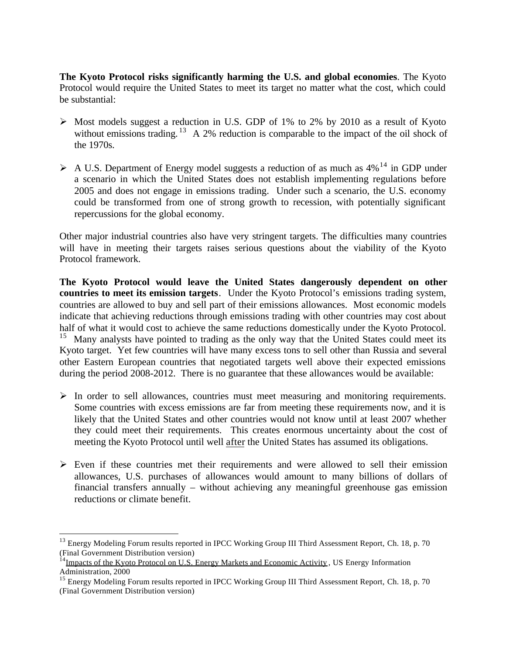**The Kyoto Protocol risks significantly harming the U.S. and global economies**. The Kyoto Protocol would require the United States to meet its target no matter what the cost, which could be substantial:

- $\triangleright$  Most models suggest a reduction in U.S. GDP of 1% to 2% by 2010 as a result of Kyoto without emissions trading.<sup>13</sup> A 2% reduction is comparable to the impact of the oil shock of the 1970s.
- $\triangleright$  A U.S. Department of Energy model suggests a reduction of as much as 4%<sup>14</sup> in GDP under a scenario in which the United States does not establish implementing regulations before 2005 and does not engage in emissions trading. Under such a scenario, the U.S. economy could be transformed from one of strong growth to recession, with potentially significant repercussions for the global economy.

Other major industrial countries also have very stringent targets. The difficulties many countries will have in meeting their targets raises serious questions about the viability of the Kyoto Protocol framework.

**The Kyoto Protocol would leave the United States dangerously dependent on other countries to meet its emission targets**. Under the Kyoto Protocol's emissions trading system, countries are allowed to buy and sell part of their emissions allowances. Most economic models indicate that achieving reductions through emissions trading with other countries may cost about half of what it would cost to achieve the same reductions domestically under the Kyoto Protocol. <sup>15</sup> Many analysts have pointed to trading as the only way that the United States could meet its Kyoto target. Yet few countries will have many excess tons to sell other than Russia and several other Eastern European countries that negotiated targets well above their expected emissions during the period 2008-2012. There is no guarantee that these allowances would be available:

- $\triangleright$  In order to sell allowances, countries must meet measuring and monitoring requirements. Some countries with excess emissions are far from meeting these requirements now, and it is likely that the United States and other countries would not know until at least 2007 whether they could meet their requirements. This creates enormous uncertainty about the cost of meeting the Kyoto Protocol until well after the United States has assumed its obligations.
- $\triangleright$  Even if these countries met their requirements and were allowed to sell their emission allowances, U.S. purchases of allowances would amount to many billions of dollars of financial transfers annually – without achieving any meaningful greenhouse gas emission reductions or climate benefit.

 $\overline{a}$ 

<sup>&</sup>lt;sup>13</sup> Energy Modeling Forum results reported in IPCC Working Group III Third Assessment Report, Ch. 18, p. 70 (Final Government Distribution version)

<sup>&</sup>lt;sup>14</sup>Impacts of the Kyoto Protocol on U.S. Energy Markets and Economic Activity, US Energy Information Administration, 2000

<sup>&</sup>lt;sup>15</sup> Energy Modeling Forum results reported in IPCC Working Group III Third Assessment Report, Ch. 18, p. 70 (Final Government Distribution version)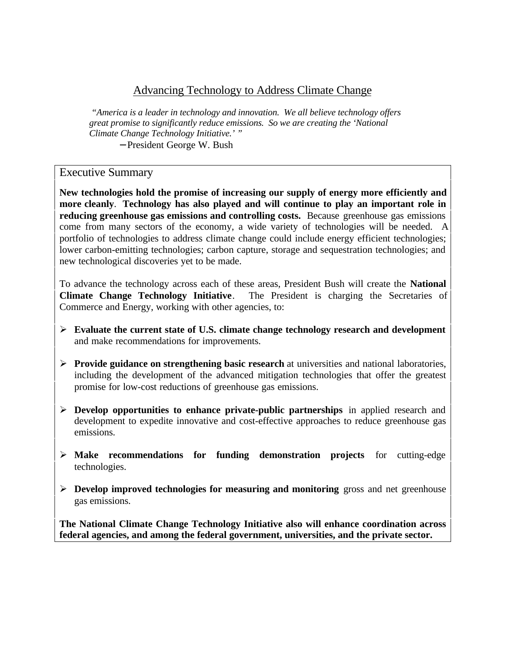# Advancing Technology to Address Climate Change

 *"America is a leader in technology and innovation. We all believe technology offers great promise to significantly reduce emissions. So we are creating the 'National Climate Change Technology Initiative.' "*

− President George W. Bush

## Executive Summary

**New technologies hold the promise of increasing our supply of energy more efficiently and more cleanly**. **Technology has also played and will continue to play an important role in reducing greenhouse gas emissions and controlling costs.** Because greenhouse gas emissions come from many sectors of the economy, a wide variety of technologies will be needed. A portfolio of technologies to address climate change could include energy efficient technologies; lower carbon-emitting technologies; carbon capture, storage and sequestration technologies; and new technological discoveries yet to be made.

To advance the technology across each of these areas, President Bush will create the **National Climate Change Technology Initiative**. The President is charging the Secretaries of Commerce and Energy, working with other agencies, to:

- ÿ **Evaluate the current state of U.S. climate change technology research and development** and make recommendations for improvements.
- **Provide guidance on strengthening basic research** at universities and national laboratories, including the development of the advanced mitigation technologies that offer the greatest promise for low-cost reductions of greenhouse gas emissions.
- ÿ **Develop opportunities to enhance private-public partnerships** in applied research and development to expedite innovative and cost-effective approaches to reduce greenhouse gas emissions.
- ÿ **Make recommendations for funding demonstration projects** for cutting-edge technologies.
- ÿ **Develop improved technologies for measuring and monitoring** gross and net greenhouse gas emissions.

**The National Climate Change Technology Initiative also will enhance coordination across federal agencies, and among the federal government, universities, and the private sector.**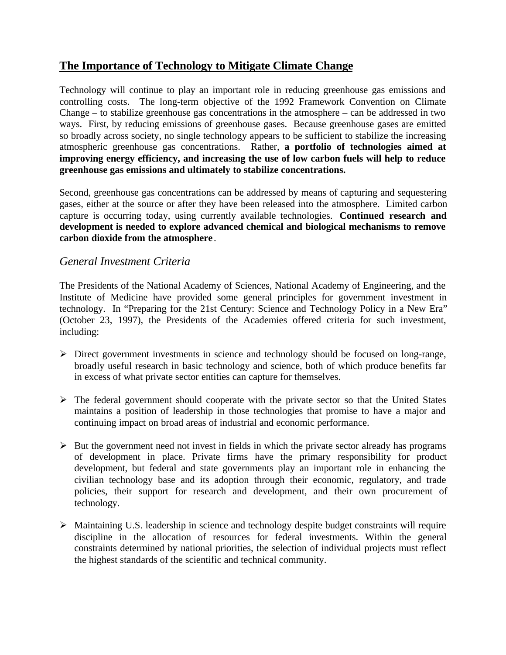# **The Importance of Technology to Mitigate Climate Change**

Technology will continue to play an important role in reducing greenhouse gas emissions and controlling costs. The long-term objective of the 1992 Framework Convention on Climate Change – to stabilize greenhouse gas concentrations in the atmosphere – can be addressed in two ways. First, by reducing emissions of greenhouse gases. Because greenhouse gases are emitted so broadly across society, no single technology appears to be sufficient to stabilize the increasing atmospheric greenhouse gas concentrations. Rather, **a portfolio of technologies aimed at improving energy efficiency, and increasing the use of low carbon fuels will help to reduce greenhouse gas emissions and ultimately to stabilize concentrations.**

Second, greenhouse gas concentrations can be addressed by means of capturing and sequestering gases, either at the source or after they have been released into the atmosphere. Limited carbon capture is occurring today, using currently available technologies. **Continued research and development is needed to explore advanced chemical and biological mechanisms to remove carbon dioxide from the atmosphere** .

# *General Investment Criteria*

The Presidents of the National Academy of Sciences, National Academy of Engineering, and the Institute of Medicine have provided some general principles for government investment in technology. In "Preparing for the 21st Century: Science and Technology Policy in a New Era" (October 23, 1997), the Presidents of the Academies offered criteria for such investment, including:

- $\triangleright$  Direct government investments in science and technology should be focused on long-range, broadly useful research in basic technology and science, both of which produce benefits far in excess of what private sector entities can capture for themselves.
- $\triangleright$  The federal government should cooperate with the private sector so that the United States maintains a position of leadership in those technologies that promise to have a major and continuing impact on broad areas of industrial and economic performance.
- $\triangleright$  But the government need not invest in fields in which the private sector already has programs of development in place. Private firms have the primary responsibility for product development, but federal and state governments play an important role in enhancing the civilian technology base and its adoption through their economic, regulatory, and trade policies, their support for research and development, and their own procurement of technology.
- $\triangleright$  Maintaining U.S. leadership in science and technology despite budget constraints will require discipline in the allocation of resources for federal investments. Within the general constraints determined by national priorities, the selection of individual projects must reflect the highest standards of the scientific and technical community.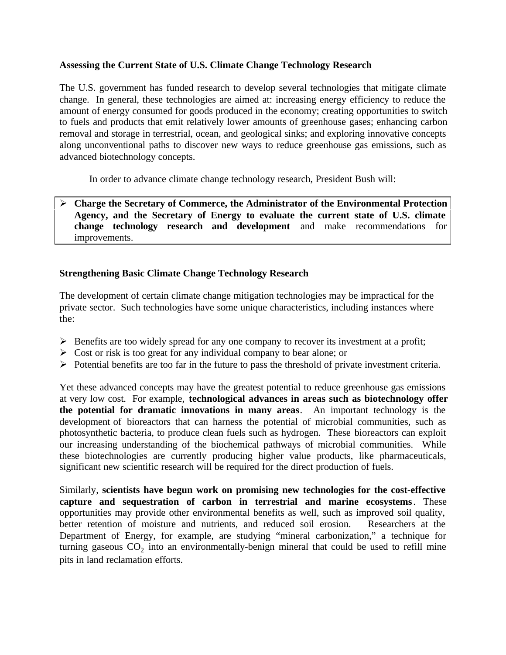#### **Assessing the Current State of U.S. Climate Change Technology Research**

The U.S. government has funded research to develop several technologies that mitigate climate change. In general, these technologies are aimed at: increasing energy efficiency to reduce the amount of energy consumed for goods produced in the economy; creating opportunities to switch to fuels and products that emit relatively lower amounts of greenhouse gases; enhancing carbon removal and storage in terrestrial, ocean, and geological sinks; and exploring innovative concepts along unconventional paths to discover new ways to reduce greenhouse gas emissions, such as advanced biotechnology concepts.

In order to advance climate change technology research, President Bush will:

#### ÿ **Charge the Secretary of Commerce, the Administrator of the Environmental Protection Agency, and the Secretary of Energy to evaluate the current state of U.S. climate change technology research and development** and make recommendations for improvements.

#### **Strengthening Basic Climate Change Technology Research**

The development of certain climate change mitigation technologies may be impractical for the private sector. Such technologies have some unique characteristics, including instances where the:

- $\triangleright$  Benefits are too widely spread for any one company to recover its investment at a profit;
- $\triangleright$  Cost or risk is too great for any individual company to bear alone; or
- $\triangleright$  Potential benefits are too far in the future to pass the threshold of private investment criteria.

Yet these advanced concepts may have the greatest potential to reduce greenhouse gas emissions at very low cost. For example, **technological advances in areas such as biotechnology offer the potential for dramatic innovations in many areas**. An important technology is the development of bioreactors that can harness the potential of microbial communities, such as photosynthetic bacteria, to produce clean fuels such as hydrogen. These bioreactors can exploit our increasing understanding of the biochemical pathways of microbial communities. While these biotechnologies are currently producing higher value products, like pharmaceuticals, significant new scientific research will be required for the direct production of fuels.

Similarly, **scientists have begun work on promising new technologies for the cost-effective capture and sequestration of carbon in terrestrial and marine ecosystems**. These opportunities may provide other environmental benefits as well, such as improved soil quality, better retention of moisture and nutrients, and reduced soil erosion. Researchers at the Department of Energy, for example, are studying "mineral carbonization," a technique for turning gaseous  $CO_2$  into an environmentally-benign mineral that could be used to refill mine pits in land reclamation efforts.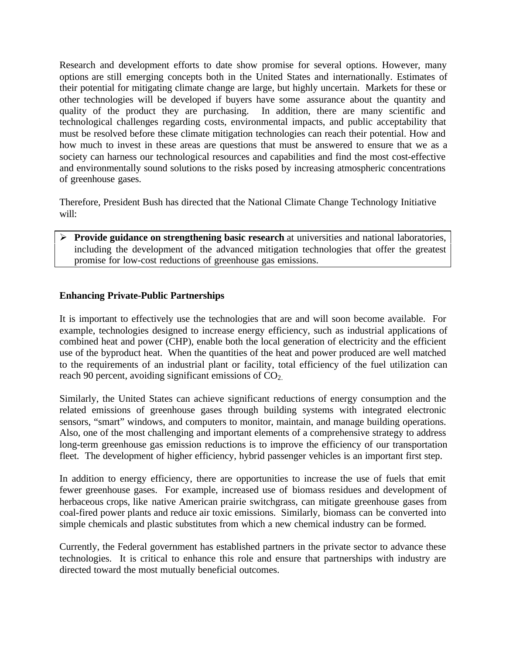Research and development efforts to date show promise for several options. However, many options are still emerging concepts both in the United States and internationally. Estimates of their potential for mitigating climate change are large, but highly uncertain. Markets for these or other technologies will be developed if buyers have some assurance about the quantity and quality of the product they are purchasing. In addition, there are many scientific and technological challenges regarding costs, environmental impacts, and public acceptability that must be resolved before these climate mitigation technologies can reach their potential. How and how much to invest in these areas are questions that must be answered to ensure that we as a society can harness our technological resources and capabilities and find the most cost-effective and environmentally sound solutions to the risks posed by increasing atmospheric concentrations of greenhouse gases.

Therefore, President Bush has directed that the National Climate Change Technology Initiative will:

**Provide guidance on strengthening basic research** at universities and national laboratories, including the development of the advanced mitigation technologies that offer the greatest promise for low-cost reductions of greenhouse gas emissions.

#### **Enhancing Private-Public Partnerships**

It is important to effectively use the technologies that are and will soon become available. For example, technologies designed to increase energy efficiency, such as industrial applications of combined heat and power (CHP), enable both the local generation of electricity and the efficient use of the byproduct heat. When the quantities of the heat and power produced are well matched to the requirements of an industrial plant or facility, total efficiency of the fuel utilization can reach 90 percent, avoiding significant emissions of CO<sub>2</sub>.

Similarly, the United States can achieve significant reductions of energy consumption and the related emissions of greenhouse gases through building systems with integrated electronic sensors, "smart" windows, and computers to monitor, maintain, and manage building operations. Also, one of the most challenging and important elements of a comprehensive strategy to address long-term greenhouse gas emission reductions is to improve the efficiency of our transportation fleet. The development of higher efficiency, hybrid passenger vehicles is an important first step.

In addition to energy efficiency, there are opportunities to increase the use of fuels that emit fewer greenhouse gases. For example, increased use of biomass residues and development of herbaceous crops, like native American prairie switchgrass, can mitigate greenhouse gases from coal-fired power plants and reduce air toxic emissions. Similarly, biomass can be converted into simple chemicals and plastic substitutes from which a new chemical industry can be formed.

Currently, the Federal government has established partners in the private sector to advance these technologies. It is critical to enhance this role and ensure that partnerships with industry are directed toward the most mutually beneficial outcomes.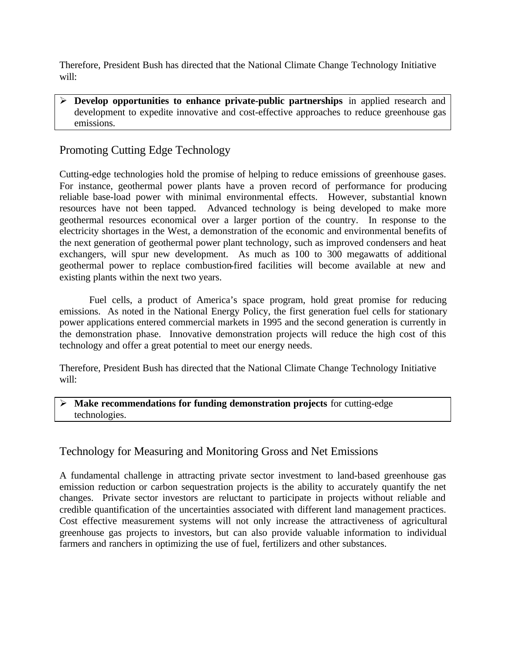Therefore, President Bush has directed that the National Climate Change Technology Initiative will:

ÿ **Develop opportunities to enhance private-public partnerships** in applied research and development to expedite innovative and cost-effective approaches to reduce greenhouse gas emissions.

# Promoting Cutting Edge Technology

Cutting-edge technologies hold the promise of helping to reduce emissions of greenhouse gases. For instance, geothermal power plants have a proven record of performance for producing reliable base-load power with minimal environmental effects. However, substantial known resources have not been tapped. Advanced technology is being developed to make more geothermal resources economical over a larger portion of the country. In response to the electricity shortages in the West, a demonstration of the economic and environmental benefits of the next generation of geothermal power plant technology, such as improved condensers and heat exchangers, will spur new development. As much as 100 to 300 megawatts of additional geothermal power to replace combustion-fired facilities will become available at new and existing plants within the next two years.

Fuel cells, a product of America's space program, hold great promise for reducing emissions. As noted in the National Energy Policy, the first generation fuel cells for stationary power applications entered commercial markets in 1995 and the second generation is currently in the demonstration phase. Innovative demonstration projects will reduce the high cost of this technology and offer a great potential to meet our energy needs.

Therefore, President Bush has directed that the National Climate Change Technology Initiative will:

#### ÿ **Make recommendations for funding demonstration projects** for cutting-edge technologies.

# Technology for Measuring and Monitoring Gross and Net Emissions

A fundamental challenge in attracting private sector investment to land-based greenhouse gas emission reduction or carbon sequestration projects is the ability to accurately quantify the net changes. Private sector investors are reluctant to participate in projects without reliable and credible quantification of the uncertainties associated with different land management practices. Cost effective measurement systems will not only increase the attractiveness of agricultural greenhouse gas projects to investors, but can also provide valuable information to individual farmers and ranchers in optimizing the use of fuel, fertilizers and other substances.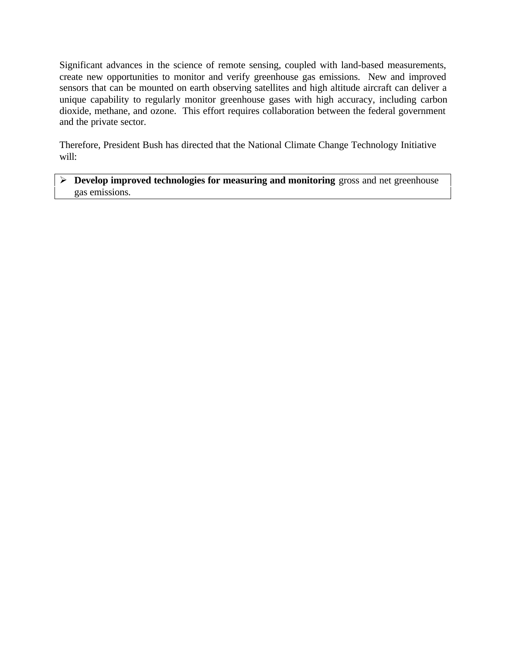Significant advances in the science of remote sensing, coupled with land-based measurements, create new opportunities to monitor and verify greenhouse gas emissions. New and improved sensors that can be mounted on earth observing satellites and high altitude aircraft can deliver a unique capability to regularly monitor greenhouse gases with high accuracy, including carbon dioxide, methane, and ozone. This effort requires collaboration between the federal government and the private sector.

Therefore, President Bush has directed that the National Climate Change Technology Initiative will:

#### ÿ **Develop improved technologies for measuring and monitoring** gross and net greenhouse gas emissions.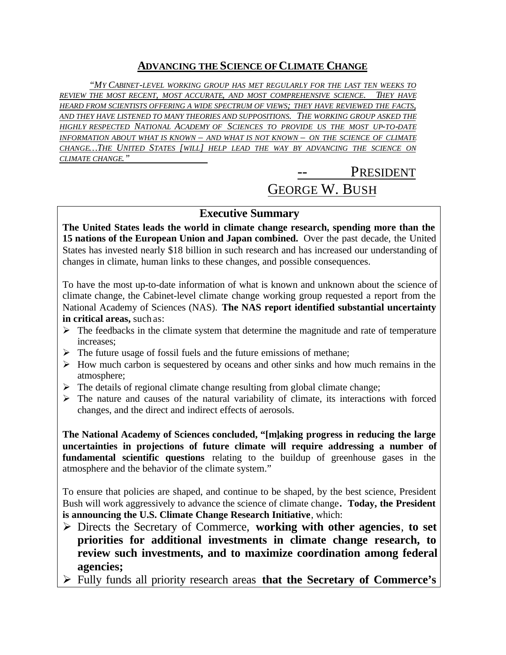# **ADVANCING THE SCIENCE OF CLIMATE CHANGE**

*"MY CABINET-LEVEL WORKING GROUP HAS MET REGULARLY FOR THE LAST TEN WEEKS TO REVIEW THE MOST RECENT, MOST ACCURATE, AND MOST COMPREHENSIVE SCIENCE. THEY HAVE HEARD FROM SCIENTISTS OFFERING A WIDE SPECTRUM OF VIEWS; THEY HAVE REVIEWED THE FACTS, AND THEY HAVE LISTENED TO MANY THEORIES AND SUPPOSITIONS. THE WORKING GROUP ASKED THE HIGHLY RESPECTED NATIONAL ACADEMY OF SCIENCES TO PROVIDE US THE MOST UP-TO-DATE INFORMATION ABOUT WHAT IS KNOWN – AND WHAT IS NOT KNOWN – ON THE SCIENCE OF CLIMATE CHANGE…THE UNITED STATES [WILL] HELP LEAD THE WAY BY ADVANCING THE SCIENCE ON CLIMATE CHANGE."* 

# PRESIDENT GEORGE W. BUSH

# **Executive Summary**

**The United States leads the world in climate change research, spending more than the 15 nations of the European Union and Japan combined.** Over the past decade, the United States has invested nearly \$18 billion in such research and has increased our understanding of changes in climate, human links to these changes, and possible consequences.

To have the most up-to-date information of what is known and unknown about the science of climate change, the Cabinet-level climate change working group requested a report from the National Academy of Sciences (NAS). **The NAS report identified substantial uncertainty in critical areas,** such as:

- $\triangleright$  The feedbacks in the climate system that determine the magnitude and rate of temperature increases;
- $\triangleright$  The future usage of fossil fuels and the future emissions of methane;
- $\triangleright$  How much carbon is sequestered by oceans and other sinks and how much remains in the atmosphere;
- $\triangleright$  The details of regional climate change resulting from global climate change;
- $\triangleright$  The nature and causes of the natural variability of climate, its interactions with forced changes, and the direct and indirect effects of aerosols.

**The National Academy of Sciences concluded, "[m]aking progress in reducing the large uncertainties in projections of future climate will require addressing a number of fundamental scientific questions** relating to the buildup of greenhouse gases in the atmosphere and the behavior of the climate system."

To ensure that policies are shaped, and continue to be shaped, by the best science, President Bush will work aggressively to advance the science of climate change**. Today, the President is announcing the U.S. Climate Change Research Initiative**, which:

- ÿ Directs the Secretary of Commerce, **working with other agencies**, **to set priorities for additional investments in climate change research, to review such investments, and to maximize coordination among federal agencies;**
- ÿ Fully funds all priority research areas **that the Secretary of Commerce's**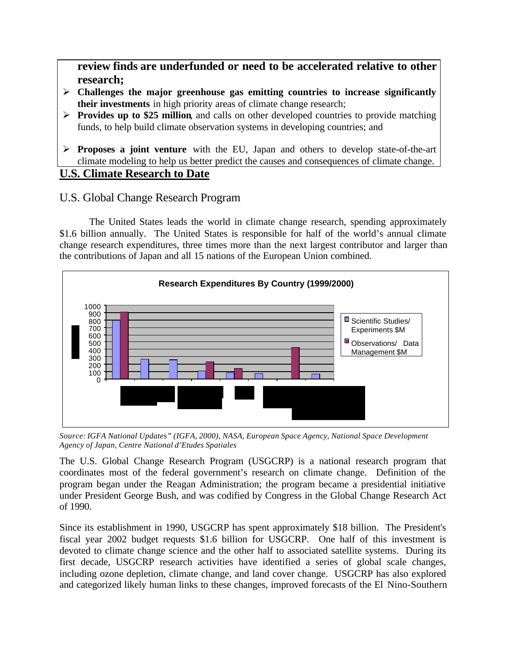**review finds are underfunded or need to be accelerated relative to other research;**

- ÿ **Challenges the major greenhouse gas emitting countries to increase significantly their investments** in high priority areas of climate change research;
- **Provides up to \$25 million,** and calls on other developed countries to provide matching funds, to help build climate observation systems in developing countries; and
- ÿ **Proposes a joint venture** with the EU, Japan and others to develop state-of-the-art climate modeling to help us better predict the causes and consequences of climate change. **U.S. Climate Research to Date**

# U.S. Global Change Research Program

The United States leads the world in climate change research, spending approximately \$1.6 billion annually. The United States is responsible for half of the world's annual climate change research expenditures, three times more than the next largest contributor and larger than the contributions of Japan and all 15 nations of the European Union combined.



*Source: IGFA National Updates" (IGFA, 2000), NASA, European Space Agency, National Space Development Agency of Japan, Centre National d'Etudes Spatiales*

The U.S. Global Change Research Program (USGCRP) is a national research program that coordinates most of the federal government's research on climate change. Definition of the program began under the Reagan Administration; the program became a presidential initiative under President George Bush, and was codified by Congress in the Global Change Research Act of 1990.

Since its establishment in 1990, USGCRP has spent approximately \$18 billion. The President's fiscal year 2002 budget requests \$1.6 billion for USGCRP. One half of this investment is devoted to climate change science and the other half to associated satellite systems. During its first decade, USGCRP research activities have identified a series of global scale changes, including ozone depletion, climate change, and land cover change. USGCRP has also explored and categorized likely human links to these changes, improved forecasts of the El Nino-Southern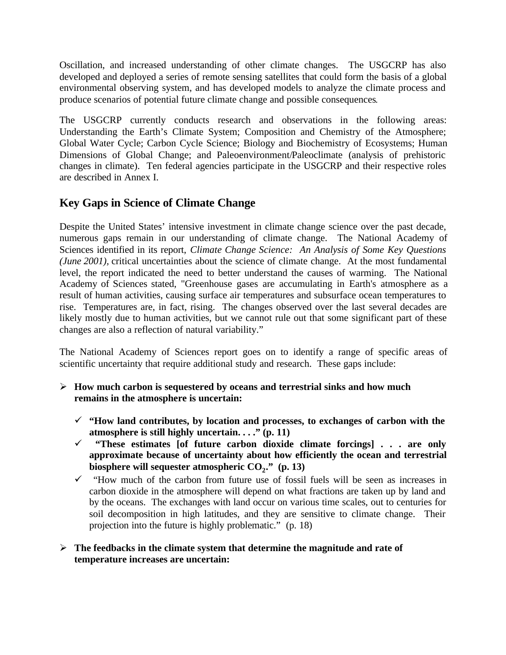Oscillation, and increased understanding of other climate changes. The USGCRP has also developed and deployed a series of remote sensing satellites that could form the basis of a global environmental observing system, and has developed models to analyze the climate process and produce scenarios of potential future climate change and possible consequences.

The USGCRP currently conducts research and observations in the following areas: Understanding the Earth's Climate System; Composition and Chemistry of the Atmosphere; Global Water Cycle; Carbon Cycle Science; Biology and Biochemistry of Ecosystems; Human Dimensions of Global Change; and Paleoenvironment/Paleoclimate (analysis of prehistoric changes in climate). Ten federal agencies participate in the USGCRP and their respective roles are described in Annex I.

# **Key Gaps in Science of Climate Change**

Despite the United States' intensive investment in climate change science over the past decade, numerous gaps remain in our understanding of climate change. The National Academy of Sciences identified in its report, *Climate Change Science: An Analysis of Some Key Questions (June 2001),* critical uncertainties about the science of climate change. At the most fundamental level, the report indicated the need to better understand the causes of warming. The National Academy of Sciences stated, "Greenhouse gases are accumulating in Earth's atmosphere as a result of human activities, causing surface air temperatures and subsurface ocean temperatures to rise. Temperatures are, in fact, rising. The changes observed over the last several decades are likely mostly due to human activities, but we cannot rule out that some significant part of these changes are also a reflection of natural variability."

The National Academy of Sciences report goes on to identify a range of specific areas of scientific uncertainty that require additional study and research. These gaps include:

- ÿ **How much carbon is sequestered by oceans and terrestrial sinks and how much remains in the atmosphere is uncertain:**
	- $\checkmark$  "How land contributes, by location and processes, to exchanges of carbon with the **atmosphere is still highly uncertain. . . ." (p. 11)**
	- ¸ **"These estimates [of future carbon dioxide climate forcings] . . . are only approximate because of uncertainty about how efficiently the ocean and terrestrial biosphere will sequester atmospheric CO<sup>2</sup> ." (p. 13)**
	- $\checkmark$  "How much of the carbon from future use of fossil fuels will be seen as increases in carbon dioxide in the atmosphere will depend on what fractions are taken up by land and by the oceans. The exchanges with land occur on various time scales, out to centuries for soil decomposition in high latitudes, and they are sensitive to climate change. Their projection into the future is highly problematic." (p. 18)

#### ÿ **The feedbacks in the climate system that determine the magnitude and rate of temperature increases are uncertain:**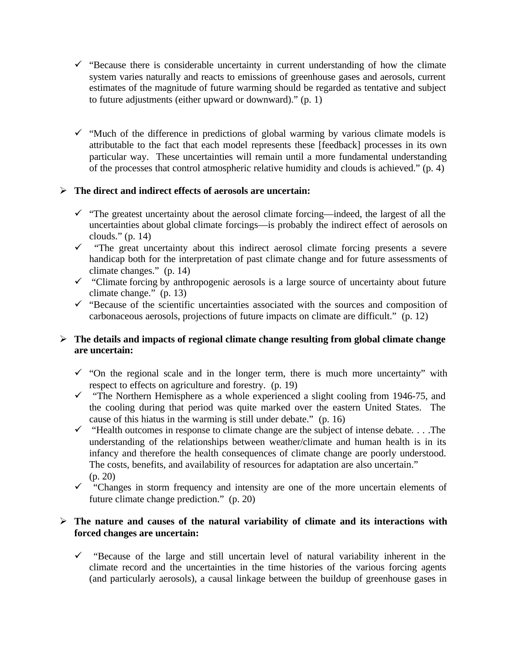- $\checkmark$  "Because there is considerable uncertainty in current understanding of how the climate system varies naturally and reacts to emissions of greenhouse gases and aerosols, current estimates of the magnitude of future warming should be regarded as tentative and subject to future adjustments (either upward or downward)." (p. 1)
- $\checkmark$  "Much of the difference in predictions of global warming by various climate models is attributable to the fact that each model represents these [feedback] processes in its own particular way. These uncertainties will remain until a more fundamental understanding of the processes that control atmospheric relative humidity and clouds is achieved." (p. 4)

#### ÿ **The direct and indirect effects of aerosols are uncertain:**

- $\checkmark$  "The greatest uncertainty about the aerosol climate forcing—indeed, the largest of all the uncertainties about global climate forcings—is probably the indirect effect of aerosols on clouds." (p. 14)
- $\checkmark$  "The great uncertainty about this indirect aerosol climate forcing presents a severe handicap both for the interpretation of past climate change and for future assessments of climate changes." (p. 14)
- $\checkmark$  "Climate forcing by anthropogenic aerosols is a large source of uncertainty about future climate change." (p. 13)
- $\checkmark$  "Because of the scientific uncertainties associated with the sources and composition of carbonaceous aerosols, projections of future impacts on climate are difficult." (p. 12)

#### ÿ **The details and impacts of regional climate change resulting from global climate change are uncertain:**

- $\checkmark$  "On the regional scale and in the longer term, there is much more uncertainty" with respect to effects on agriculture and forestry. (p. 19)
- $\checkmark$  "The Northern Hemisphere as a whole experienced a slight cooling from 1946-75, and the cooling during that period was quite marked over the eastern United States. The cause of this hiatus in the warming is still under debate." (p. 16)
- $\checkmark$  "Health outcomes in response to climate change are the subject of intense debate. . . .The understanding of the relationships between weather/climate and human health is in its infancy and therefore the health consequences of climate change are poorly understood. The costs, benefits, and availability of resources for adaptation are also uncertain." (p. 20)
- $\checkmark$  "Changes in storm frequency and intensity are one of the more uncertain elements of future climate change prediction." (p. 20)

#### ÿ **The nature and causes of the natural variability of climate and its interactions with forced changes are uncertain:**

 $\checkmark$  "Because of the large and still uncertain level of natural variability inherent in the climate record and the uncertainties in the time histories of the various forcing agents (and particularly aerosols), a causal linkage between the buildup of greenhouse gases in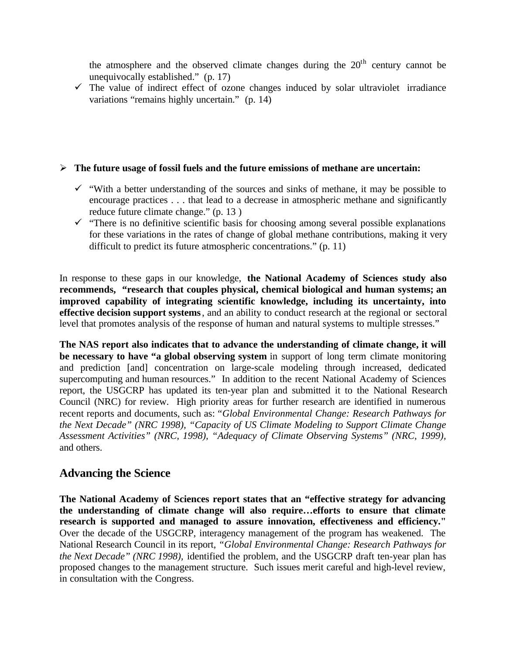the atmosphere and the observed climate changes during the  $20<sup>th</sup>$  century cannot be unequivocally established." (p. 17)

 $\checkmark$  The value of indirect effect of ozone changes induced by solar ultraviolet irradiance variations "remains highly uncertain." (p. 14)

#### ÿ **The future usage of fossil fuels and the future emissions of methane are uncertain:**

- $\checkmark$  "With a better understanding of the sources and sinks of methane, it may be possible to encourage practices . . . that lead to a decrease in atmospheric methane and significantly reduce future climate change." (p. 13 )
- $\checkmark$  "There is no definitive scientific basis for choosing among several possible explanations for these variations in the rates of change of global methane contributions, making it very difficult to predict its future atmospheric concentrations." (p. 11)

In response to these gaps in our knowledge, **the National Academy of Sciences study also recommends, "research that couples physical, chemical biological and human systems; an improved capability of integrating scientific knowledge, including its uncertainty, into effective decision support systems**, and an ability to conduct research at the regional or sectoral level that promotes analysis of the response of human and natural systems to multiple stresses."

**The NAS report also indicates that to advance the understanding of climate change, it will be necessary to have "a global observing system** in support of long term climate monitoring and prediction [and] concentration on large-scale modeling through increased, dedicated supercomputing and human resources." In addition to the recent National Academy of Sciences report, the USGCRP has updated its ten-year plan and submitted it to the National Research Council (NRC) for review. High priority areas for further research are identified in numerous recent reports and documents, such as: *"Global Environmental Change: Research Pathways for the Next Decade" (NRC 1998), "Capacity of US Climate Modeling to Support Climate Change Assessment Activities" (NRC, 1998), "Adequacy of Climate Observing Systems" (NRC, 1999),* and others.

# **Advancing the Science**

**The National Academy of Sciences report states that an "effective strategy for advancing the understanding of climate change will also require…efforts to ensure that climate research is supported and managed to assure innovation, effectiveness and efficiency."** Over the decade of the USGCRP, interagency management of the program has weakened. The National Research Council in its report, *"Global Environmental Change: Research Pathways for the Next Decade" (NRC 1998), identified the problem, and the USGCRP draft ten-year plan has* proposed changes to the management structure. Such issues merit careful and high-level review, in consultation with the Congress.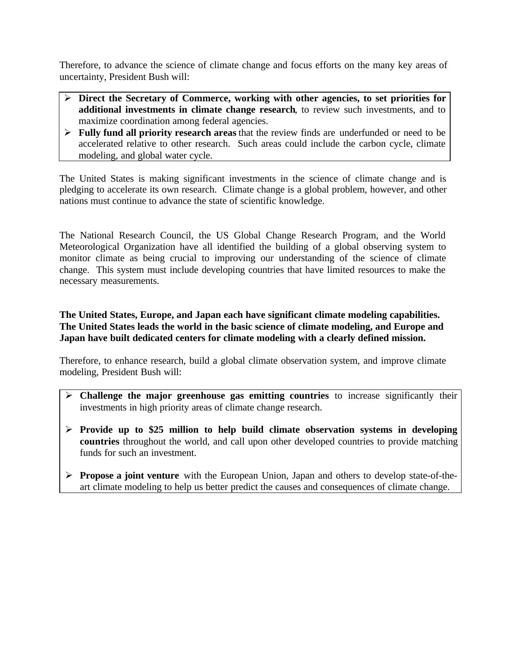Therefore, to advance the science of climate change and focus efforts on the many key areas of uncertainty, President Bush will:

- ÿ **Direct the Secretary of Commerce, working with other agencies, to set priorities for additional investments in climate change research**, to review such investments, and to maximize coordination among federal agencies.
- ÿ **Fully fund all priority research areas** that the review finds are underfunded or need to be accelerated relative to other research. Such areas could include the carbon cycle, climate modeling, and global water cycle.

The United States is making significant investments in the science of climate change and is pledging to accelerate its own research. Climate change is a global problem, however, and other nations must continue to advance the state of scientific knowledge.

The National Research Council, the US Global Change Research Program, and the World Meteorological Organization have all identified the building of a global observing system to monitor climate as being crucial to improving our understanding of the science of climate change. This system must include developing countries that have limited resources to make the necessary measurements.

**The United States, Europe, and Japan each have significant climate modeling capabilities. The United States leads the world in the basic science of climate modeling, and Europe and Japan have built dedicated centers for climate modeling with a clearly defined mission.**

Therefore, to enhance research, build a global climate observation system, and improve climate modeling, President Bush will:

- ÿ **Challenge the major greenhouse gas emitting countries** to increase significantly their investments in high priority areas of climate change research.
- $\triangleright$  **Provide up to \$25 million to help build climate observation systems in developing countries** throughout the world, and call upon other developed countries to provide matching funds for such an investment.
- **Propose a joint venture** with the European Union, Japan and others to develop state-of-theart climate modeling to help us better predict the causes and consequences of climate change.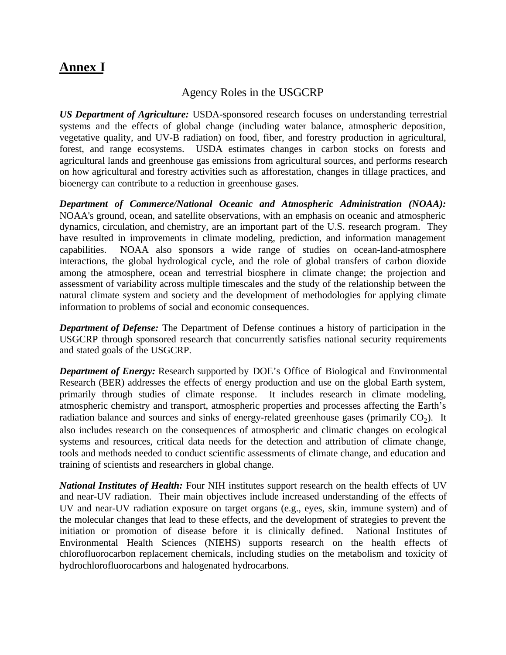# **Annex I**

# Agency Roles in the USGCRP

*US Department of Agriculture:* USDA-sponsored research focuses on understanding terrestrial systems and the effects of global change (including water balance, atmospheric deposition, vegetative quality, and UV-B radiation) on food, fiber, and forestry production in agricultural, forest, and range ecosystems. USDA estimates changes in carbon stocks on forests and agricultural lands and greenhouse gas emissions from agricultural sources, and performs research on how agricultural and forestry activities such as afforestation, changes in tillage practices, and bioenergy can contribute to a reduction in greenhouse gases.

*Department of Commerce/National Oceanic and Atmospheric Administration (NOAA):* NOAA's ground, ocean, and satellite observations, with an emphasis on oceanic and atmospheric dynamics, circulation, and chemistry, are an important part of the U.S. research program. They have resulted in improvements in climate modeling, prediction, and information management capabilities. NOAA also sponsors a wide range of studies on ocean-land-atmosphere interactions, the global hydrological cycle, and the role of global transfers of carbon dioxide among the atmosphere, ocean and terrestrial biosphere in climate change; the projection and assessment of variability across multiple timescales and the study of the relationship between the natural climate system and society and the development of methodologies for applying climate information to problems of social and economic consequences.

*Department of Defense:* The Department of Defense continues a history of participation in the USGCRP through sponsored research that concurrently satisfies national security requirements and stated goals of the USGCRP.

*Department of Energy:* Research supported by DOE's Office of Biological and Environmental Research (BER) addresses the effects of energy production and use on the global Earth system, primarily through studies of climate response. It includes research in climate modeling, atmospheric chemistry and transport, atmospheric properties and processes affecting the Earth's radiation balance and sources and sinks of energy-related greenhouse gases (primarily  $CO_2$ ). It also includes research on the consequences of atmospheric and climatic changes on ecological systems and resources, critical data needs for the detection and attribution of climate change, tools and methods needed to conduct scientific assessments of climate change, and education and training of scientists and researchers in global change.

*National Institutes of Health:* Four NIH institutes support research on the health effects of UV and near-UV radiation. Their main objectives include increased understanding of the effects of UV and near-UV radiation exposure on target organs (e.g., eyes, skin, immune system) and of the molecular changes that lead to these effects, and the development of strategies to prevent the initiation or promotion of disease before it is clinically defined. National Institutes of Environmental Health Sciences (NIEHS) supports research on the health effects of chlorofluorocarbon replacement chemicals, including studies on the metabolism and toxicity of hydrochlorofluorocarbons and halogenated hydrocarbons.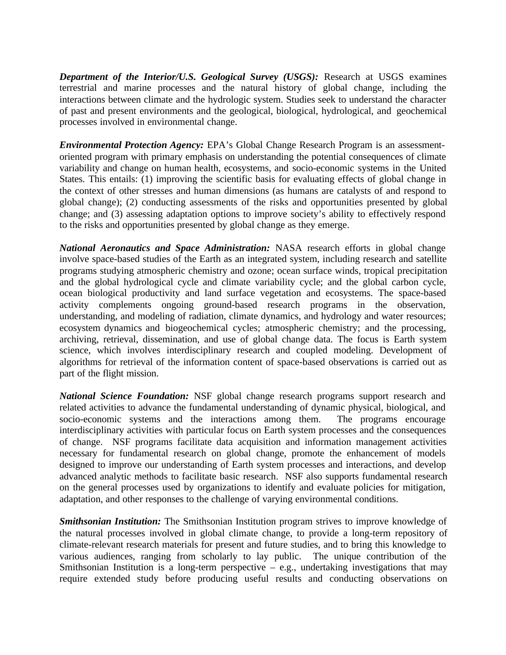*Department of the Interior/U.S. Geological Survey (USGS):* Research at USGS examines terrestrial and marine processes and the natural history of global change, including the interactions between climate and the hydrologic system. Studies seek to understand the character of past and present environments and the geological, biological, hydrological, and geochemical processes involved in environmental change.

*Environmental Protection Agency:* EPA's Global Change Research Program is an assessmentoriented program with primary emphasis on understanding the potential consequences of climate variability and change on human health, ecosystems, and socio-economic systems in the United States. This entails: (1) improving the scientific basis for evaluating effects of global change in the context of other stresses and human dimensions (as humans are catalysts of and respond to global change); (2) conducting assessments of the risks and opportunities presented by global change; and (3) assessing adaptation options to improve society's ability to effectively respond to the risks and opportunities presented by global change as they emerge.

*National Aeronautics and Space Administration:* NASA research efforts in global change involve space-based studies of the Earth as an integrated system, including research and satellite programs studying atmospheric chemistry and ozone; ocean surface winds, tropical precipitation and the global hydrological cycle and climate variability cycle; and the global carbon cycle, ocean biological productivity and land surface vegetation and ecosystems. The space-based activity complements ongoing ground-based research programs in the observation, understanding, and modeling of radiation, climate dynamics, and hydrology and water resources; ecosystem dynamics and biogeochemical cycles; atmospheric chemistry; and the processing, archiving, retrieval, dissemination, and use of global change data. The focus is Earth system science, which involves interdisciplinary research and coupled modeling. Development of algorithms for retrieval of the information content of space-based observations is carried out as part of the flight mission.

*National Science Foundation:* NSF global change research programs support research and related activities to advance the fundamental understanding of dynamic physical, biological, and socio-economic systems and the interactions among them. The programs encourage interdisciplinary activities with particular focus on Earth system processes and the consequences of change. NSF programs facilitate data acquisition and information management activities necessary for fundamental research on global change, promote the enhancement of models designed to improve our understanding of Earth system processes and interactions, and develop advanced analytic methods to facilitate basic research. NSF also supports fundamental research on the general processes used by organizations to identify and evaluate policies for mitigation, adaptation, and other responses to the challenge of varying environmental conditions.

*Smithsonian Institution:* The Smithsonian Institution program strives to improve knowledge of the natural processes involved in global climate change, to provide a long-term repository of climate-relevant research materials for present and future studies, and to bring this knowledge to various audiences, ranging from scholarly to lay public. The unique contribution of the Smithsonian Institution is a long-term perspective  $-$  e.g., undertaking investigations that may require extended study before producing useful results and conducting observations on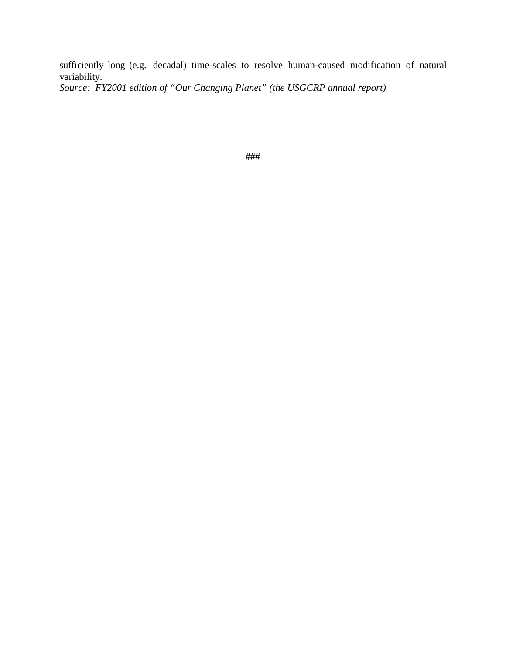sufficiently long (e.g. decadal) time-scales to resolve human-caused modification of natural variability.

*Source: FY2001 edition of "Our Changing Planet" (the USGCRP annual report)*

###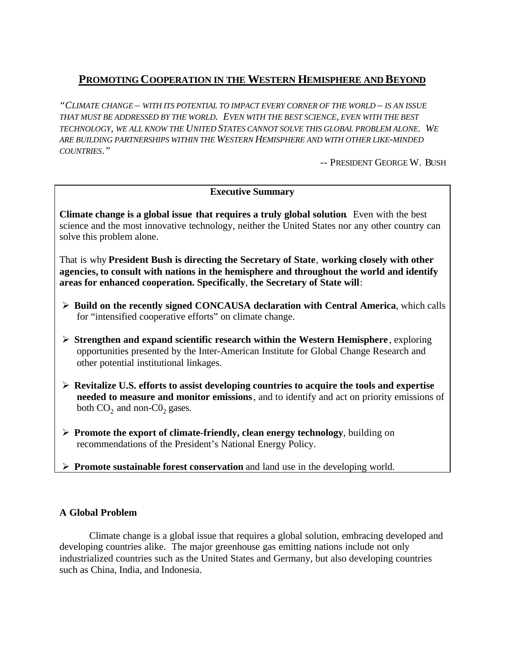# **PROMOTING COOPERATION IN THE WESTERN HEMISPHERE AND BEYOND**

*"CLIMATE CHANGE – WITH ITS POTENTIAL TO IMPACT EVERY CORNER OF THE WORLD – IS AN ISSUE THAT MUST BE ADDRESSED BY THE WORLD. EVEN WITH THE BEST SCIENCE, EVEN WITH THE BEST TECHNOLOGY, WE ALL KNOW THE UNITED STATES CANNOT SOLVE THIS GLOBAL PROBLEM ALONE. WE ARE BUILDING PARTNERSHIPS WITHIN THE WESTERN HEMISPHERE AND WITH OTHER LIKE-MINDED COUNTRIES."* 

-- PRESIDENT GEORGE W. BUSH

#### **Executive Summary**

**Climate change is a global issue that requires a truly global solution**. Even with the best science and the most innovative technology, neither the United States nor any other country can solve this problem alone.

That is why **President Bush is directing the Secretary of State**, **working closely with other agencies, to consult with nations in the hemisphere and throughout the world and identify areas for enhanced cooperation. Specifically**, **the Secretary of State will**:

- ÿ **Build on the recently signed CONCAUSA declaration with Central America**, which calls for "intensified cooperative efforts" on climate change.
- ÿ **Strengthen and expand scientific research within the Western Hemisphere** , exploring opportunities presented by the Inter-American Institute for Global Change Research and other potential institutional linkages.
- ÿ **Revitalize U.S. efforts to assist developing countries to acquire the tools and expertise needed to measure and monitor emissions**, and to identify and act on priority emissions of both  $CO_2$  and non- $CO_2$  gases.
- ÿ **Promote the export of climate-friendly, clean energy technology**, building on recommendations of the President's National Energy Policy.
- ÿ **Promote sustainable forest conservation** and land use in the developing world.

#### **A Global Problem**

Climate change is a global issue that requires a global solution, embracing developed and developing countries alike. The major greenhouse gas emitting nations include not only industrialized countries such as the United States and Germany, but also developing countries such as China, India, and Indonesia.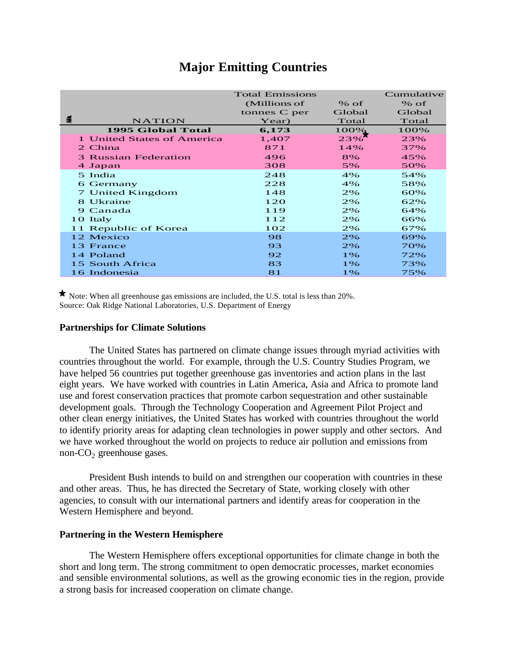# **Major Emitting Countries**

|                                                                                                                                                                                                                                                                                                                                                                                                                                                                                                                                                                                                                                                                                                                                                                                                                                                                                                                        | <b>Total Emissions</b> |          | Cumulative |
|------------------------------------------------------------------------------------------------------------------------------------------------------------------------------------------------------------------------------------------------------------------------------------------------------------------------------------------------------------------------------------------------------------------------------------------------------------------------------------------------------------------------------------------------------------------------------------------------------------------------------------------------------------------------------------------------------------------------------------------------------------------------------------------------------------------------------------------------------------------------------------------------------------------------|------------------------|----------|------------|
|                                                                                                                                                                                                                                                                                                                                                                                                                                                                                                                                                                                                                                                                                                                                                                                                                                                                                                                        | (Millions of           | $%$ of   | % of       |
|                                                                                                                                                                                                                                                                                                                                                                                                                                                                                                                                                                                                                                                                                                                                                                                                                                                                                                                        | tonnes C per           | Global   | Global     |
| 畕<br><b>NATION</b>                                                                                                                                                                                                                                                                                                                                                                                                                                                                                                                                                                                                                                                                                                                                                                                                                                                                                                     | Year)                  | Total    | Total      |
| <b>1995 Global Total</b>                                                                                                                                                                                                                                                                                                                                                                                                                                                                                                                                                                                                                                                                                                                                                                                                                                                                                               | 6,173                  | $100\%$  | 100%       |
| 1 United States of America                                                                                                                                                                                                                                                                                                                                                                                                                                                                                                                                                                                                                                                                                                                                                                                                                                                                                             | 1,407                  | 23%      | 23%        |
| 2 China                                                                                                                                                                                                                                                                                                                                                                                                                                                                                                                                                                                                                                                                                                                                                                                                                                                                                                                | 871                    | 14%      | 37%        |
| <b>3 Russian Federation</b>                                                                                                                                                                                                                                                                                                                                                                                                                                                                                                                                                                                                                                                                                                                                                                                                                                                                                            | 496                    | 8%       | 45%        |
| 4 Japan                                                                                                                                                                                                                                                                                                                                                                                                                                                                                                                                                                                                                                                                                                                                                                                                                                                                                                                | 308                    | 5%       | 50%        |
| 5 India<br>6 Germany                                                                                                                                                                                                                                                                                                                                                                                                                                                                                                                                                                                                                                                                                                                                                                                                                                                                                                   | 248<br>228             | 4%<br>4% | 54%<br>58% |
| 7 United Kingdom                                                                                                                                                                                                                                                                                                                                                                                                                                                                                                                                                                                                                                                                                                                                                                                                                                                                                                       | 148                    | 2%       | 60%        |
| 8 Ukraine                                                                                                                                                                                                                                                                                                                                                                                                                                                                                                                                                                                                                                                                                                                                                                                                                                                                                                              | 120                    | 2%       | 62%        |
| 9 Canada                                                                                                                                                                                                                                                                                                                                                                                                                                                                                                                                                                                                                                                                                                                                                                                                                                                                                                               | 119                    | 2%       | 64%        |
| 10 Italy                                                                                                                                                                                                                                                                                                                                                                                                                                                                                                                                                                                                                                                                                                                                                                                                                                                                                                               | 112                    | 2%       | 66%        |
| 11 Republic of Korea                                                                                                                                                                                                                                                                                                                                                                                                                                                                                                                                                                                                                                                                                                                                                                                                                                                                                                   | 102                    | 2%       | 67%        |
| 12 Mexico                                                                                                                                                                                                                                                                                                                                                                                                                                                                                                                                                                                                                                                                                                                                                                                                                                                                                                              | 98                     | 2%       | 69%        |
| 13 France                                                                                                                                                                                                                                                                                                                                                                                                                                                                                                                                                                                                                                                                                                                                                                                                                                                                                                              | 93                     | 2%       | 70%        |
| 14 Poland                                                                                                                                                                                                                                                                                                                                                                                                                                                                                                                                                                                                                                                                                                                                                                                                                                                                                                              | 92                     | 1%       | 72%        |
| 15 South Africa                                                                                                                                                                                                                                                                                                                                                                                                                                                                                                                                                                                                                                                                                                                                                                                                                                                                                                        | 83                     | 1%       | 73%        |
| 16 Indonesia                                                                                                                                                                                                                                                                                                                                                                                                                                                                                                                                                                                                                                                                                                                                                                                                                                                                                                           | 81                     | 1%       | 75%        |
| The United States has partnered on climate change issues through myriad activities with<br>countries throughout the world. For example, through the U.S. Country Studies Program, we<br>have helped 56 countries put together greenhouse gas inventories and action plans in the last<br>eight years. We have worked with countries in Latin America, Asia and Africa to promote land<br>use and forest conservation practices that promote carbon sequestration and other sustainable<br>development goals. Through the Technology Cooperation and Agreement Pilot Project and<br>other clean energy initiatives, the United States has worked with countries throughout the world<br>to identify priority areas for adapting clean technologies in power supply and other sectors. And<br>we have worked throughout the world on projects to reduce air pollution and emissions from<br>non- $CO2$ greenhouse gases. |                        |          |            |
| President Bush intends to build on and strengthen our cooperation with countries in these<br>and other areas. Thus, he has directed the Secretary of State, working closely with other<br>agencies, to consult with our international partners and identify areas for cooperation in the<br>Western Hemisphere and beyond.                                                                                                                                                                                                                                                                                                                                                                                                                                                                                                                                                                                             |                        |          |            |
| <b>Partnering in the Western Hemisphere</b>                                                                                                                                                                                                                                                                                                                                                                                                                                                                                                                                                                                                                                                                                                                                                                                                                                                                            |                        |          |            |
| The Western Hemisphere offers exceptional opportunities for climate change in both the<br>short and long term. The strong commitment to open democratic processes, market economies<br>and sensible environmental solutions, as well as the growing economic ties in the region, provide<br>a strong basis for increased cooperation on climate change.                                                                                                                                                                                                                                                                                                                                                                                                                                                                                                                                                                |                        |          |            |

#### **Partnerships for Climate Solutions**

#### **Partnering in the Western Hemisphere**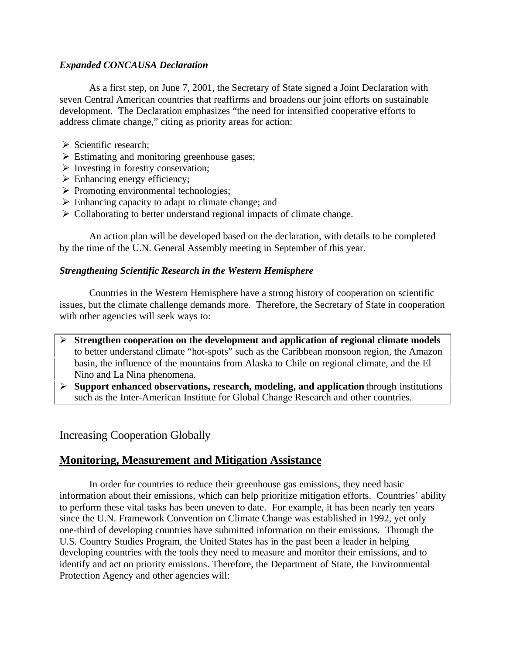#### *Expanded CONCAUSA Declaration*

As a first step, on June 7, 2001, the Secretary of State signed a Joint Declaration with seven Central American countries that reaffirms and broadens our joint efforts on sustainable development. The Declaration emphasizes "the need for intensified cooperative efforts to address climate change," citing as priority areas for action:

- $\triangleright$  Scientific research;
- $\triangleright$  Estimating and monitoring greenhouse gases;
- $\triangleright$  Investing in forestry conservation;
- $\triangleright$  Enhancing energy efficiency;
- $\triangleright$  Promoting environmental technologies;
- $\triangleright$  Enhancing capacity to adapt to climate change; and
- $\triangleright$  Collaborating to better understand regional impacts of climate change.

An action plan will be developed based on the declaration, with details to be completed by the time of the U.N. General Assembly meeting in September of this year.

#### *Strengthening Scientific Research in the Western Hemisphere*

Countries in the Western Hemisphere have a strong history of cooperation on scientific issues, but the climate challenge demands more. Therefore, the Secretary of State in cooperation with other agencies will seek ways to:

- ÿ **Strengthen cooperation on the development and application of regional climate models** to better understand climate "hot-spots" such as the Caribbean monsoon region, the Amazon basin, the influence of the mountains from Alaska to Chile on regional climate, and the El Nino and La Nina phenomena.
- ÿ **Support enhanced observations, research, modeling, and application** through institutions such as the Inter-American Institute for Global Change Research and other countries.

#### Increasing Cooperation Globally

# **Monitoring, Measurement and Mitigation Assistance**

In order for countries to reduce their greenhouse gas emissions, they need basic information about their emissions, which can help prioritize mitigation efforts. Countries' ability to perform these vital tasks has been uneven to date. For example, it has been nearly ten years since the U.N. Framework Convention on Climate Change was established in 1992, yet only one-third of developing countries have submitted information on their emissions. Through the U.S. Country Studies Program, the United States has in the past been a leader in helping developing countries with the tools they need to measure and monitor their emissions, and to identify and act on priority emissions. Therefore, the Department of State, the Environmental Protection Agency and other agencies will: